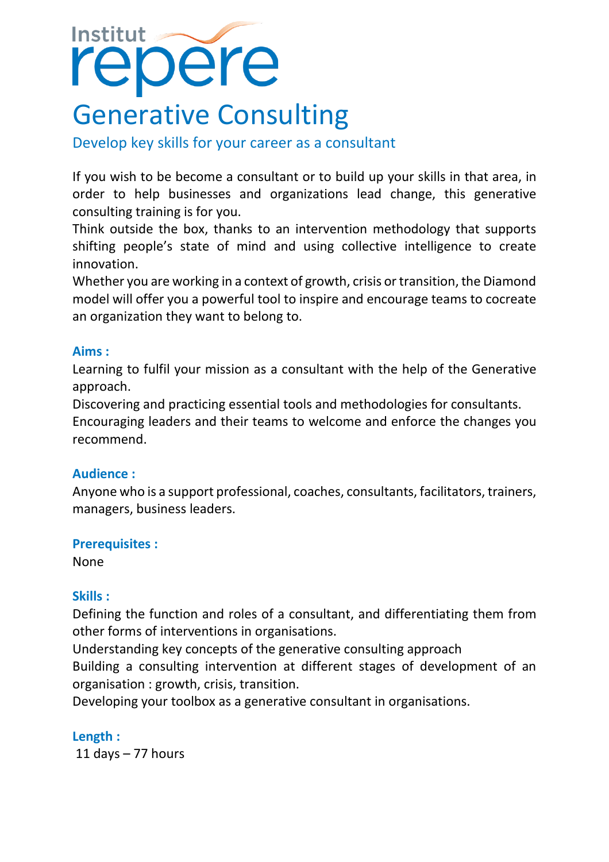# **Institut** repere

## Generative Consulting

Develop key skills for your career as a consultant

If you wish to be become a consultant or to build up your skills in that area, in order to help businesses and organizations lead change, this generative consulting training is for you.

Think outside the box, thanks to an intervention methodology that supports shifting people's state of mind and using collective intelligence to create innovation.

Whether you are working in a context of growth, crisis or transition, the Diamond model will offer you a powerful tool to inspire and encourage teams to cocreate an organization they want to belong to.

## **Aims :**

Learning to fulfil your mission as a consultant with the help of the Generative approach.

Discovering and practicing essential tools and methodologies for consultants. Encouraging leaders and their teams to welcome and enforce the changes you recommend.

## **Audience :**

Anyone who is a support professional, coaches, consultants, facilitators, trainers, managers, business leaders.

## **Prerequisites :**

None

## **Skills :**

Defining the function and roles of a consultant, and differentiating them from other forms of interventions in organisations.

Understanding key concepts of the generative consulting approach Building a consulting intervention at different stages of development of an organisation : growth, crisis, transition.

Developing your toolbox as a generative consultant in organisations.

## **Length :**

11 days  $-77$  hours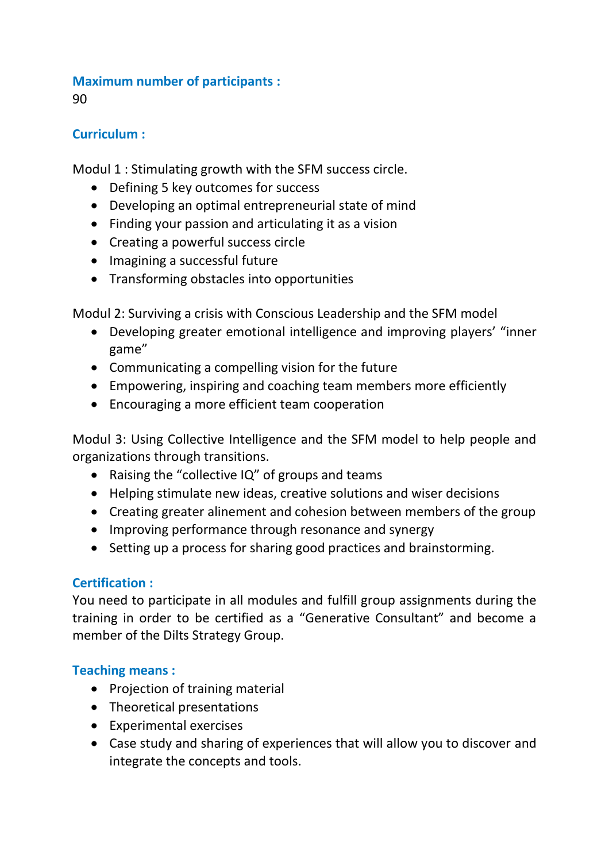## **Maximum number of participants :**

90

## **Curriculum :**

Modul 1 : Stimulating growth with the SFM success circle.

- Defining 5 key outcomes for success
- Developing an optimal entrepreneurial state of mind
- Finding your passion and articulating it as a vision
- Creating a powerful success circle
- Imagining a successful future
- Transforming obstacles into opportunities

Modul 2: Surviving a crisis with Conscious Leadership and the SFM model

- Developing greater emotional intelligence and improving players' "inner game"
- Communicating a compelling vision for the future
- Empowering, inspiring and coaching team members more efficiently
- Encouraging a more efficient team cooperation

Modul 3: Using Collective Intelligence and the SFM model to help people and organizations through transitions.

- Raising the "collective IQ" of groups and teams
- Helping stimulate new ideas, creative solutions and wiser decisions
- Creating greater alinement and cohesion between members of the group
- Improving performance through resonance and synergy
- Setting up a process for sharing good practices and brainstorming.

## **Certification :**

You need to participate in all modules and fulfill group assignments during the training in order to be certified as a "Generative Consultant" and become a member of the Dilts Strategy Group.

## **Teaching means :**

- Projection of training material
- Theoretical presentations
- Experimental exercises
- Case study and sharing of experiences that will allow you to discover and integrate the concepts and tools.